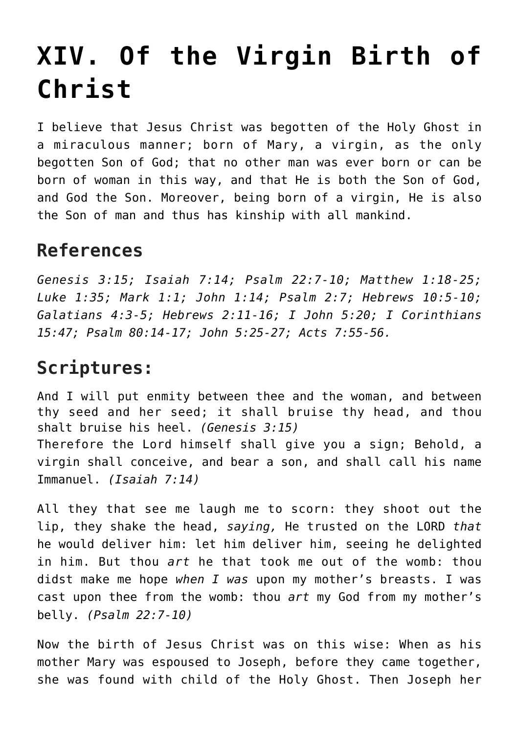## **[XIV. Of the Virgin Birth of](https://reproachofmen.org/statement-of-faith/xiv-of-the-virgin-birth-of-christ/) [Christ](https://reproachofmen.org/statement-of-faith/xiv-of-the-virgin-birth-of-christ/)**

I believe that Jesus Christ was begotten of the Holy Ghost in a miraculous manner; born of Mary, a virgin, as the only begotten Son of God; that no other man was ever born or can be born of woman in this way, and that He is both the Son of God, and God the Son. Moreover, being born of a virgin, He is also the Son of man and thus has kinship with all mankind.

## **References**

*Genesis 3:15; Isaiah 7:14; Psalm 22:7-10; Matthew 1:18-25; Luke 1:35; Mark 1:1; John 1:14; Psalm 2:7; Hebrews 10:5-10; Galatians 4:3-5; Hebrews 2:11-16; I John 5:20; I Corinthians 15:47; Psalm 80:14-17; John 5:25-27; Acts 7:55-56.*

## **Scriptures:**

And I will put enmity between thee and the woman, and between thy seed and her seed; it shall bruise thy head, and thou shalt bruise his heel. *(Genesis 3:15)* Therefore the Lord himself shall give you a sign; Behold, a virgin shall conceive, and bear a son, and shall call his name Immanuel. *(Isaiah 7:14)*

All they that see me laugh me to scorn: they shoot out the lip, they shake the head, *saying,* He trusted on the LORD *that* he would deliver him: let him deliver him, seeing he delighted in him. But thou *art* he that took me out of the womb: thou didst make me hope *when I was* upon my mother's breasts. I was cast upon thee from the womb: thou *art* my God from my mother's belly. *(Psalm 22:7-10)*

Now the birth of Jesus Christ was on this wise: When as his mother Mary was espoused to Joseph, before they came together, she was found with child of the Holy Ghost. Then Joseph her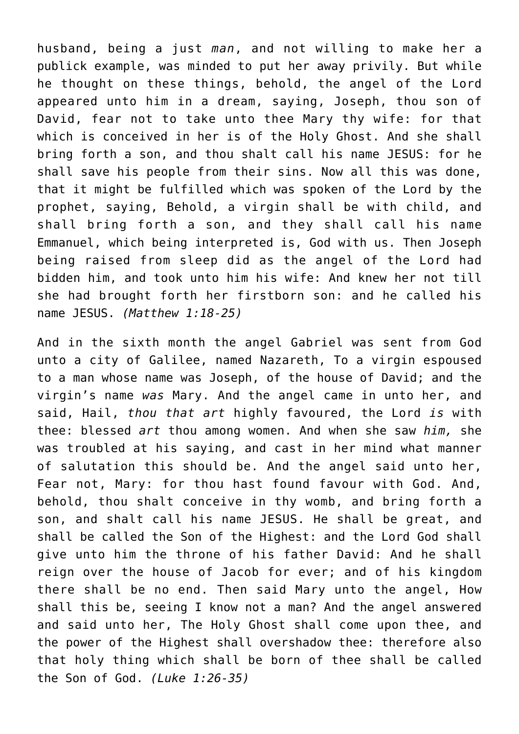husband, being a just *man*, and not willing to make her a publick example, was minded to put her away privily. But while he thought on these things, behold, the angel of the Lord appeared unto him in a dream, saying, Joseph, thou son of David, fear not to take unto thee Mary thy wife: for that which is conceived in her is of the Holy Ghost. And she shall bring forth a son, and thou shalt call his name JESUS: for he shall save his people from their sins. Now all this was done, that it might be fulfilled which was spoken of the Lord by the prophet, saying, Behold, a virgin shall be with child, and shall bring forth a son, and they shall call his name Emmanuel, which being interpreted is, God with us. Then Joseph being raised from sleep did as the angel of the Lord had bidden him, and took unto him his wife: And knew her not till she had brought forth her firstborn son: and he called his name JESUS. *(Matthew 1:18-25)*

And in the sixth month the angel Gabriel was sent from God unto a city of Galilee, named Nazareth, To a virgin espoused to a man whose name was Joseph, of the house of David; and the virgin's name *was* Mary. And the angel came in unto her, and said, Hail, *thou that art* highly favoured, the Lord *is* with thee: blessed *art* thou among women. And when she saw *him,* she was troubled at his saying, and cast in her mind what manner of salutation this should be. And the angel said unto her, Fear not, Mary: for thou hast found favour with God. And, behold, thou shalt conceive in thy womb, and bring forth a son, and shalt call his name JESUS. He shall be great, and shall be called the Son of the Highest: and the Lord God shall give unto him the throne of his father David: And he shall reign over the house of Jacob for ever; and of his kingdom there shall be no end. Then said Mary unto the angel, How shall this be, seeing I know not a man? And the angel answered and said unto her, The Holy Ghost shall come upon thee, and the power of the Highest shall overshadow thee: therefore also that holy thing which shall be born of thee shall be called the Son of God. *(Luke 1:26-35)*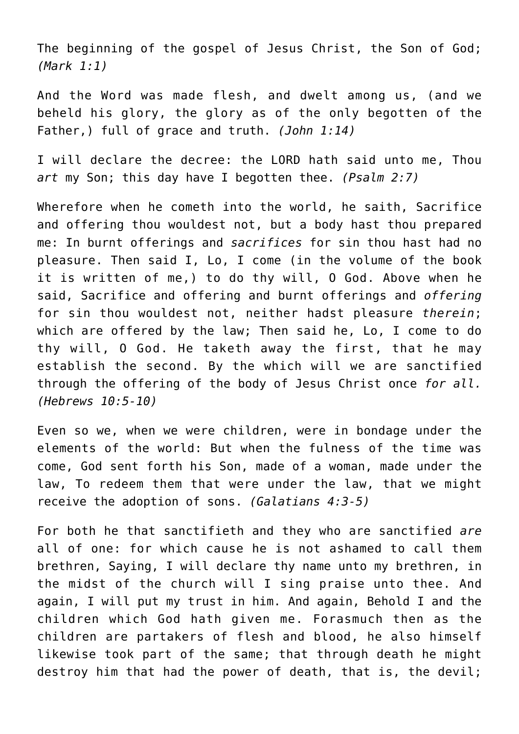The beginning of the gospel of Jesus Christ, the Son of God; *(Mark 1:1)*

And the Word was made flesh, and dwelt among us, (and we beheld his glory, the glory as of the only begotten of the Father,) full of grace and truth. *(John 1:14)*

I will declare the decree: the LORD hath said unto me, Thou *art* my Son; this day have I begotten thee. *(Psalm 2:7)*

Wherefore when he cometh into the world, he saith, Sacrifice and offering thou wouldest not, but a body hast thou prepared me: In burnt offerings and *sacrifices* for sin thou hast had no pleasure. Then said I, Lo, I come (in the volume of the book it is written of me,) to do thy will, O God. Above when he said, Sacrifice and offering and burnt offerings and *offering* for sin thou wouldest not, neither hadst pleasure *therein*; which are offered by the law; Then said he, Lo, I come to do thy will, O God. He taketh away the first, that he may establish the second. By the which will we are sanctified through the offering of the body of Jesus Christ once *for all. (Hebrews 10:5-10)*

Even so we, when we were children, were in bondage under the elements of the world: But when the fulness of the time was come, God sent forth his Son, made of a woman, made under the law, To redeem them that were under the law, that we might receive the adoption of sons. *(Galatians 4:3-5)*

For both he that sanctifieth and they who are sanctified *are* all of one: for which cause he is not ashamed to call them brethren, Saying, I will declare thy name unto my brethren, in the midst of the church will I sing praise unto thee. And again, I will put my trust in him. And again, Behold I and the children which God hath given me. Forasmuch then as the children are partakers of flesh and blood, he also himself likewise took part of the same; that through death he might destroy him that had the power of death, that is, the devil;